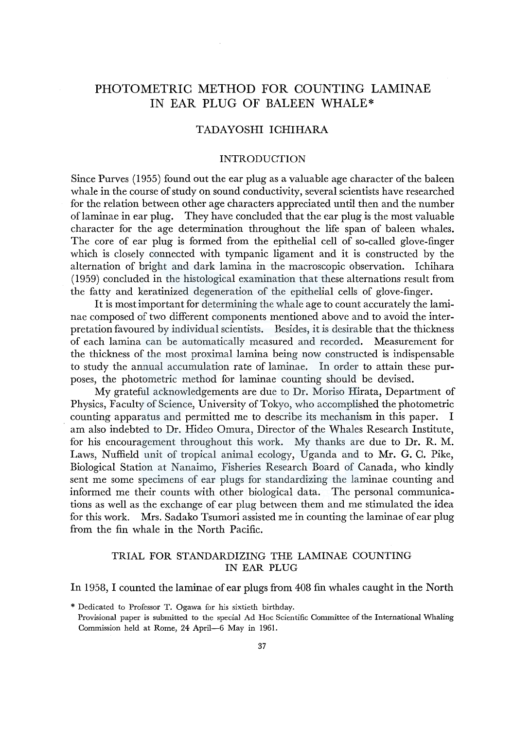# PHOTOMETRIC METHOD FOR COUNTING LAMINAE IN EAR PLUG OF BALEEN WHALE\*

# TADAYOSHI ICHIHARA

### INTRODUCTION

Since Purves (1955) found out the ear plug as a valuable age character of the baleen whale in the course of study on sound conductivity, several scientists have researched for the relation between other age characters appreciated until then and the number of laminae in ear plug. They have concluded that the ear plug is the most valuable character for the age determination throughout the life span of baleen whales. The core of ear plug is formed from the epithelial cell of so-called glove-finger which is closely connected with tympanic ligament and it is constructed by the alternation of bright and dark lamina in the macroscopic observation. Ichihara (1959) concluded in the histological examination that these alternations result from the fatty and keratinized degeneration of the epithelial cells of glove-finger.

It is most important for determining the whale age to count accurately the laminae composed of two different components mentioned above and to avoid the interpretation favoured by individual scientists. Besides, it is desirable that the thickness of each lamina can be automatically measured and recorded. Measurement for the thickness of the most proximal lamina being now constructed is indispensable to study the annual accumulation rate of laminae. In order to attain these purposes, the photometric method for laminae counting should be devised.

My grateful acknowledgements are due to Dr. Moriso Hirata, Department of Physics, Faculty of Science, University of Tokyo, who accomplished the photometric counting apparatus and permitted me to describe its mechanism in this paper. am also indebted to Dr. Hideo Omura, Director of the Whales Research Institute, for his encouragement throughout this work. My thanks are due to Dr. R. M. Laws, Nuffield unit of tropical animal ecology, Uganda and to Mr. G. C. Pike, Biological Station at Nanaimo, Fisheries Research Board of Canada, who kindly sent me some specimens of ear plugs for standardizing the laminae counting and informed me their counts with other biological data. The personal communications as well as the exchange of ear plug between them and me stimulated the idea for this work. Mrs. Sadako Tsumori assisted me in counting the laminae of ear plug from the fin whale in the North Pacific.

### TRIAL FOR STANDARDIZING THE LAMINAE COUNTING IN EAR PLUG

# In 1958, I counted the laminae of ear plugs from 408 fin whales caught in the North

<sup>\*</sup> Dedicated to Professor T. Ogawa for his sixtieth birthday. Provisional paper is submitted to the special Ad Hoe Scientific Committee of the International Whaling Commission held at Rome, 24 April-6 May in 1961.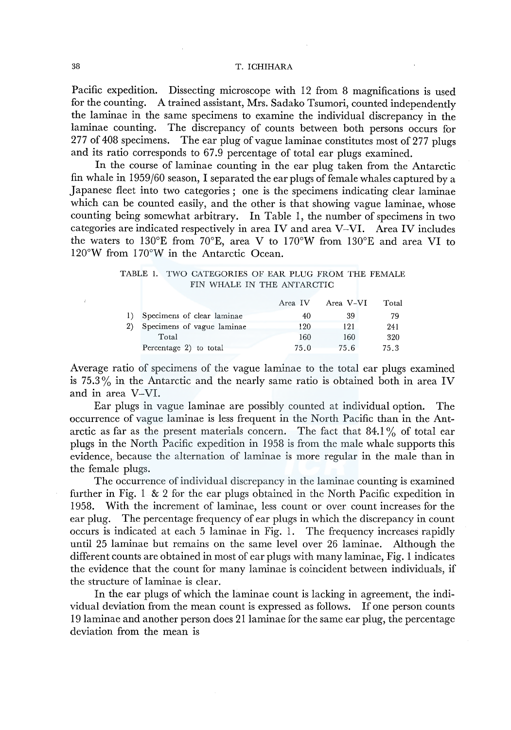#### 38 T. ICHIHARA

Pacific expedition. Dissecting microscope with 12 from 8 magnifications is used for the counting. A trained assistant, Mrs. Sadako Tsumori, counted independently the laminae in the same specimens to examine the individual discrepancy in the laminae counting. The discrepancy of counts between both persons occurs for 277 of 408 specimens. The ear plug of vague laminae constitutes most of 277 plugs and its ratio corresponds to 67 .9 percentage of total ear plugs examined.

In the course of laminae counting in the ear plug taken from the Antarctic fin whale in  $1959/60$  season, I separated the ear plugs of female whales captured by a Japanese fleet into two categories ; one is the specimens indicating clear laminae which can be counted easily, and the other is that showing vague laminae, whose counting being somewhat arbitrary. In Table I, the number of specimens in two categories are indicated respectively in area IV and area V-VI. Area IV includes the waters to 130°E from 70°E, area V to 170°W from 130°E and area VI to l 20°W from I 70°W in the Antarctic Ocean.

TABLE 1. TWO CATEGORIES OF EAR PLUG FROM THE FEMALE FIN WHALE IN THE ANTARCTIC

|    |                               | Area IV | Area V-VI | Total |
|----|-------------------------------|---------|-----------|-------|
|    | 1) Specimens of clear laminae | 40      | 39        | 79    |
| 2) | Specimens of vague laminae    | 120     | 121       | 241   |
|    | Total                         | 160     | 160       | 320   |
|    | Percentage 2) to total        | 75.0    | 75.6      | 75.3  |

Average ratio of specimens of the vague laminae to the total ear plugs examined is  $75.3\%$  in the Antarctic and the nearly same ratio is obtained both in area IV and in area V-VI.

Ear plugs in vague laminae are possibly counted at individual option. The occurrence of vague laminae is less frequent in the North Pacific than in the Antarctic as far as the present materials concern. The fact that  $84.1\%$  of total ear plugs in the North Pacific expedition in 1958 is from the male whale supports this evidence, because the alternation of laminae is more regular in the male than in the female plugs.

The occurrence of individual discrepancy in the laminae counting is examined further in Fig. 1  $\&$  2 for the ear plugs obtained in the North Pacific expedition in 1958. With the increment of laminae, less count or over count increases for the ear plug. The percentage frequency of ear plugs in which the discrepancy in count occurs is indicated at each 5 laminae in Fig. 1. The frequency increases rapidly until 25 laminae but remains on the same level over 26 laminae. Although the different counts are obtained in most of ear plugs with many laminae, Fig. 1 indicates the evidence that the count for many laminae is coincident between individuals, if the structure of laminae is clear.

In the ear plugs of which the laminae count is lacking in agreement, the individual deviation from the mean count is expressed as follows. If one person counts 19 laminae and another person does 2 I laminae for the same ear plug, the percentage deviation from the mean is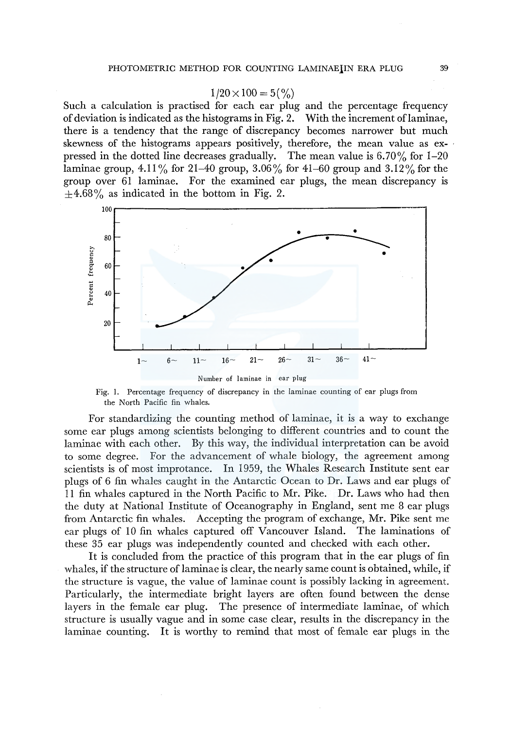#### $1/20 \times 100 = 5\binom{0}{0}$

Such a calculation is practised for each ear plug and the percentage frequency of deviation is indicated as the histograms in Fig. 2. With the increment oflaminae, there is a tendency that the range of discrepancy becomes narrower but much skewness of the histograms appears positively, therefore, the mean value as expressed in the dotted line decreases gradually. The mean value is  $6.70\%$  for 1-20 laminae group, 4.11% for 21–40 group, 3.06% for 41–60 group and 3.12% for the group over 61 laminae. For the examined ear plugs, the mean discrepancy is  $\pm 4.68\%$  as indicated in the bottom in Fig. 2.



Number of laminae in ear plug

Fig. I. Percentage frequency of discrepancy in the laminae counting of ear plugs from the North Pacific fin whales.

For standardizing the counting method of laminae, it is a way to exchange some ear plugs among scientists belonging to different countries and to count the laminae with each other. By this way, the individual interpretation can be avoid to some degree. For the advancement of whale biology, the agreement among scientists is of most improtance. In 1959, the Whales Research Institute sent ear plugs of 6 fin whales caught in the Antarctic Ocean to Dr. Laws and ear plugs of I 1 fin whales captured in the North Pacific to Mr. Pike. Dr. Laws who had then the duty at National Institute of Oceanography in England, sent me 8 ear plugs from Antarctic fin whales. Accepting the program of exchange, Mr. Pike sent me ear plugs of 10 fin whales captured off Vancouver Island. The laminations of these 35 ear plugs was independently counted and checked with each other.

It is concluded from the practice of this program that in the ear plugs of fin whales, if the structure of laminae is clear, the nearly same count is obtained, while, if the structure is vague, the value of laminae count is possibly lacking in agreement. Particularly, the intermediate bright layers are often found between the dense layers in the female ear plug. The presence of intermediate laminae, of which structure is usually vague and in some case clear, results in the discrepancy in the laminae counting. It is worthy to remind that most of female ear plugs in the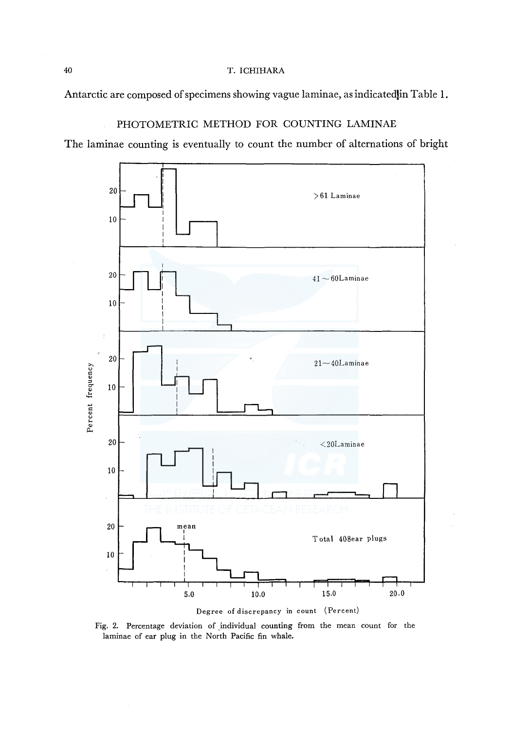### 40 T. ICHIHARA

Antarctic are composed of specimens showing vague laminae, as indicated in Table 1.

# PHOTOMETRIC METHOD FOR COUNTING LAMINAE

The laminae counting is eventually to count the number of alternations of bright



Degree of discrepancy in count (Percent)

Fig. 2. Percentage deviation of individual counting from the mean count for the laminae of ear plug in the North Pacific fin whale.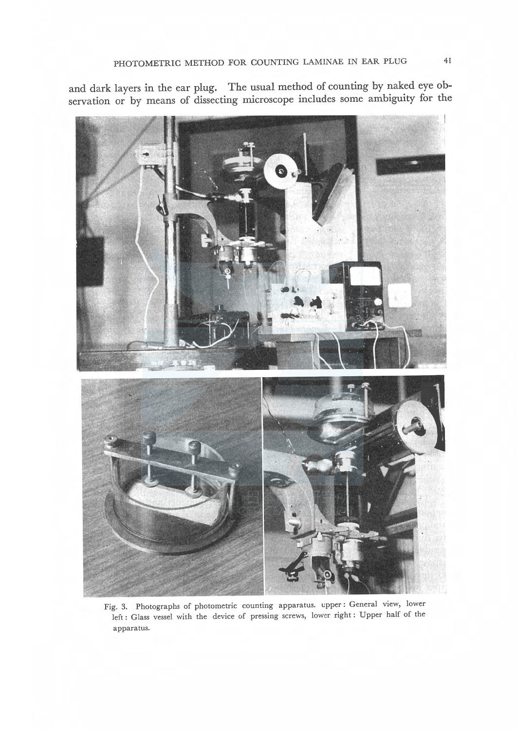and dark layers in the ear plug. The usual method of counting by naked eye observation or by means of dissecting microscope includes some ambiguity for the



Fig. 3. Photographs of photometric counting apparatus. upper: General view, lower left : Glass vessel with the device of pressing screws, lower right: Upper half of the apparatus.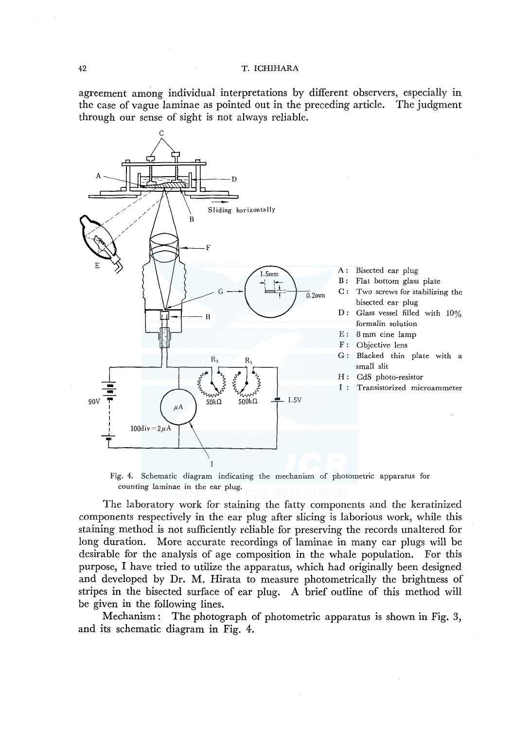agreement among individual interpretations by different observers, especially in the case of vague laminae as pointed out in the preceding article. The judgment through our sense of sight is not always reliable.



Fig. 4. Schematic diagram indicating the mechanism of photometric apparatus for counting laminae in the ear plug.

The laboratory work for staining the fatty components and the keratinized components respectively in the ear plug after slicing is laborious work, while this staining method is not sufficiently reliable for preserving the records unaltered for long duration. More accurate recordings of laminae in many ear plugs will be desirable for the analysis of age composition in the whale population. For this purpose, I have tried to utilize the apparatus, which had originally been designed and developed by Dr. M. Hirata to measure photometrically the brightness of stripes in the bisected surface of ear plug. A brief outline of this method will be given in the following lines.

Mechanism: The photograph of photometric apparatus is shown in Fig. 3, and its schematic diagram in Fig. 4.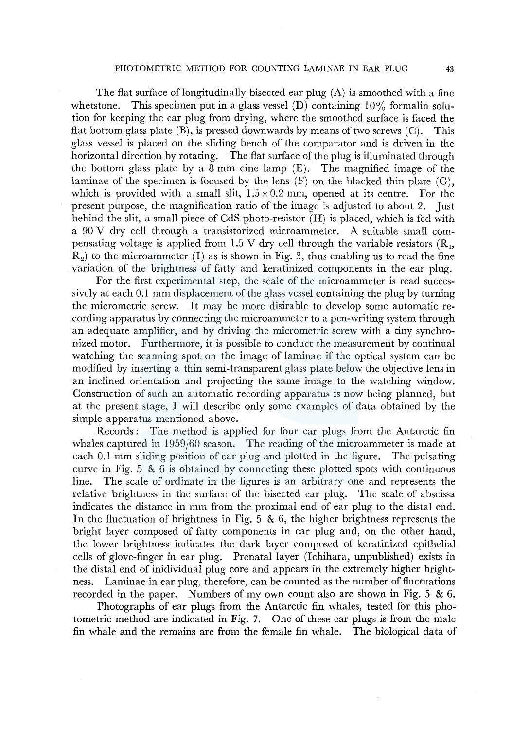The flat surface of longitudinally bisected ear plug  $(A)$  is smoothed with a fine whetstone. This specimen put in a glass vessel  $(D)$  containing  $10\%$  formalin solution for keeping the ear plug from drying, where the smoothed surface is faced the flat bottom glass plate  $(B)$ , is pressed downwards by means of two screws  $(C)$ . This glass vessel is placed on the sliding bench of the comparator and is driven in the horizontal direction by rotating. The flat surface of the plug is illuminated through the bottom glass plate by a 8 mm cine lamp (E). The magnified image of the laminae of the specimen is focused by the lens  $(F)$  on the blacked thin plate  $(G)$ , which is provided with a small slit,  $1.5 \times 0.2$  mm, opened at its centre. For the present purpose, the magnification ratio of the image is adjusted to about 2. Just behind the slit, a small piece of CdS photo-resistor (H) is placed, which is fed with a 90 V dry cell through a transistorized microammeter. A suitable small compensating voltage is applied from 1.5 V dry cell through the variable resistors  $(R_1, R_2)$  $R<sub>2</sub>$ ) to the microammeter (I) as is shown in Fig. 3, thus enabling us to read the fine variation of the brightness of fatty and keratinized components in the ear plug.

For the first experimental step, the scale of the microammeter is read successively at each 0.1 mm displacement of the glass vessel containing the plug by turning the micrometric screw. It may be more disirable to develop some automatic recording apparatus by connecting the microammeter to a pen-writing system through an adequate amplifier, and by driving the micrometric screw with a tiny synchronized motor. Furthermore, it is possible to conduct the measurement by continual watching the scanning spot on the image of laminae if the optical system can be modified by inserting a thin semi-transparent glass plate below the objective lens in an inclined orientation and projecting the same image to the watching window. Construction of such an automatic recording apparatus is now being planned, but at the present stage, I will describe only some examples of data obtained by the simple apparatus mentioned above.

Records *:* The method is applied for four ear plugs from the Antarctic fin whales captured in 1959/60 season. The reading of the microammeter is made at each 0.1 mm sliding position of ear plug and plotted in the figure. The pulsating curve in Fig.  $5 \& 6$  is obtained by connecting these plotted spots with continuous line. The scale of ordinate in the figures is an arbitrary one and represents the relative brightness in the surface of the bisected ear plug. The scale of abscissa indicates the distance in mm from the proximal end of ear plug to the distal end. In the fluctuation of brightness in Fig. 5  $\&$  6, the higher brightness represents the bright layer composed of fatty components in ear plug and, on the other hand, the lower brightness indicates the dark layer composed of keratinized epithelial cells of glove-finger in ear plug. Prenatal layer (Ichihara, unpublished) exists in the distal end of inidividual plug core and appears in the extremely higher brightness. Laminae in ear plug, therefore, can be counted as the number of fluctuations recorded in the paper. Numbers of my own count also are shown in Fig. 5  $\&$  6.

Photographs of ear plugs from the Antarctic fin whales, tested for this photometric method are indicated in Fig. 7. One of these ear plugs is from the male fin whale and the remains are from the female fin whale. The biological data of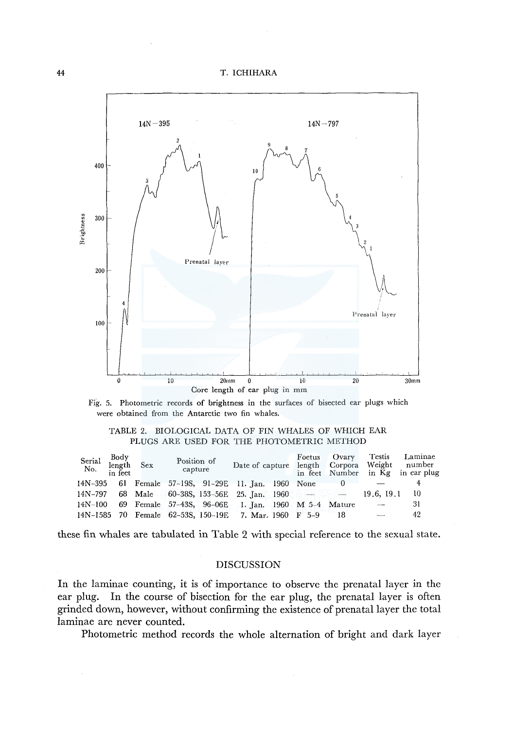



#### TABLE 2. BIOLOGICAL DATA OF FIN WHALES OF WHICH EAR PLUGS ARE USED FOR THE PHOTOMETRIC METHOD

| Serial<br>No. | Body<br>length Sex<br>in feet | Position of<br>capture | Date of capture length Corpora                        |  | Foetus Ovary | Testis<br>Weight | Laminae<br>number<br>in feet Number in Kg in ear plug |
|---------------|-------------------------------|------------------------|-------------------------------------------------------|--|--------------|------------------|-------------------------------------------------------|
| 14N-395       |                               |                        | 61 Female 57–19S, 91–29E 11 Jan. 1960 None            |  |              |                  |                                                       |
| 14N-797       |                               |                        | 68 Male 60-388, 153-56E 25. Jan. 1960 $-$             |  |              | 19.6, 19.1       | -10                                                   |
| 14N-100       |                               |                        | 69 Female 57-43S, 96-06E 1. Jan. 1960 M 5-4 Mature    |  |              |                  | 31                                                    |
|               |                               |                        | 14N-1585 70 Female 62-53S, 150-19E 7. Mar. 1960 F 5-9 |  | 18           | $\sim$           | 42                                                    |

these fin whales are tabulated in Table 2 with special reference to the sexual state.

#### DISCUSSION

In the laminae counting, it is of importance to observe the prenatal layer in the ear plug. In the course of bisection for the ear plug, the prenatal layer is often grinded down, however, without confirming the existence of prenatal layer the total laminae are never counted.

Photometric method records the whole alternation of bright and dark layer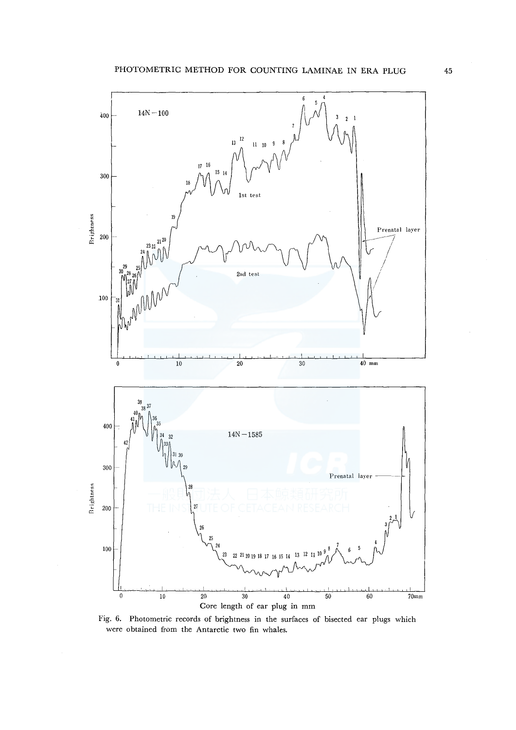

Fig. 6. Photometric records of brightness in the surfaces of bisected ear plugs which were obtained from the Antarctic two fin whales.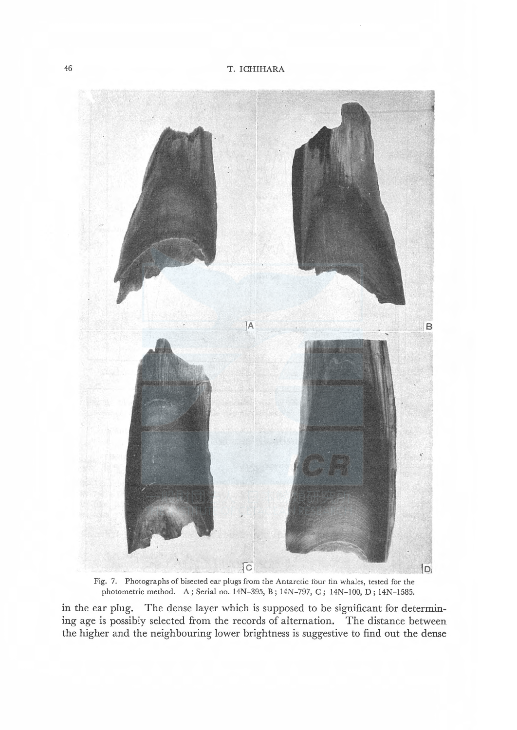

Fig. 7. Photographs of bisected ear plugs from the Antarctic four fin whales, tested for the photometric method. A; Serial no. 14N-395, B; 14N-797, C; 14N-100, D; 14N-1585.

in the ear plug. The dense layer which is supposed to be significant for determining age is possibly selected from the records of alternation. The distance between the higher and the neighbouring lower brightness is suggestive to find out the dense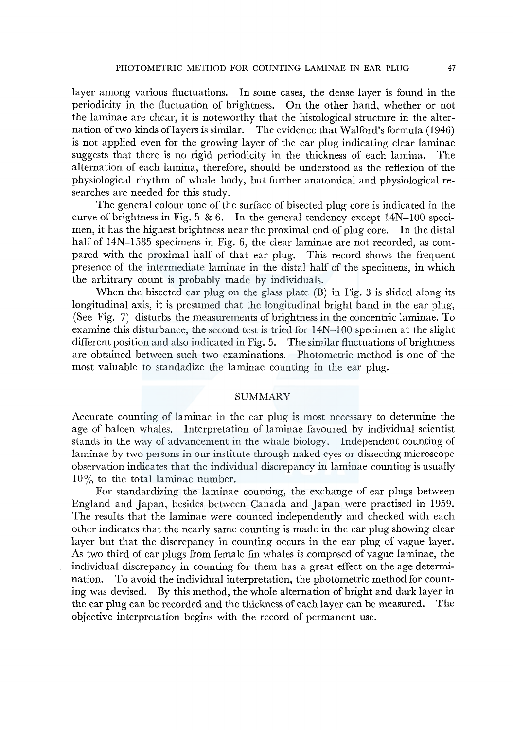layer among various fluctuations. In some cases, the dense layer is found in the periodicity in the fluctuation of brightness. On the other hand, whether or not the laminae are chear, it is noteworthy that the histological structure in the alternation of two kinds oflayers is similar. The evidence that Walford's formula (1946) is not applied even for the growing layer of the ear plug indicating clear laminae suggests that there is no rigid periodicity in the thickness of each lamina. The alternation of each lamina, therefore, should be understood as the reflexion of the physiological rhythm of whale body, but further anatomical and physiological researches are needed for this study.

The general colour tone of the surface of bisected plug core is indicated in the curve of brightness in Fig. 5 & 6. In the general tendency except  $14N-100$  specimen, it has the highest brightness near the proximal end of plug core. In the distal half of  $14N-1585$  specimens in Fig. 6, the clear laminae are not recorded, as compared with the proximal half of that ear plug. This record shows the frequent presence of the intermediate laminae in the distal half of the specimens, in which the arbitrary count is probably made by individuals.

When the bisected ear plug on the glass plate (B) in Fig. 3 is slided along its longitudinal axis, it is presumed that the longitudinal bright band in the ear plug, (See Fig. 7) disturbs the measurements of brightness in the concentric laminae. To examine this disturbance, the second test is tried for l 4N-l 00 specimen at the slight different position and also indicated in Fig. 5. The similar fluctuations of brightness are obtained between such two examinations. Photometric method is one of the most valuable to standadize the laminae counting in the ear plug.

#### SUMMARY

Accurate counting of laminae in the ear plug is most necessary to determine the age of baleen whales. Interpretation of laminae favoured by individual scientist stands in the way of advancement in the whale biology. Independent counting of laminae by two persons in our institute through naked eyes or dissecting microscope observation indicates that the individual discrepancy in laminae counting is usually 10 % to the total laminae number.

For standardizing the laminae counting, the exchange of ear plugs between England and Japan, besides between Canada and Japan were practised in 1959. The results that the laminae were counted independently and checked with each other indicates that the nearly same counting is made in the ear plug showing clear layer but that the discrepancy in counting occurs in the ear plug of vague layer. As two third of ear plugs from female fin whales is composed of vague laminae, the individual discrepancy in counting for them has a great effect on the age determination. To avoid the individual interpretation, the photometric method for counting was devised. By this method, the whole alternation of bright and dark layer in the ear plug can be recorded and the thickness of each layer can be measured. The objective interpretation begins with the record of permanent use.